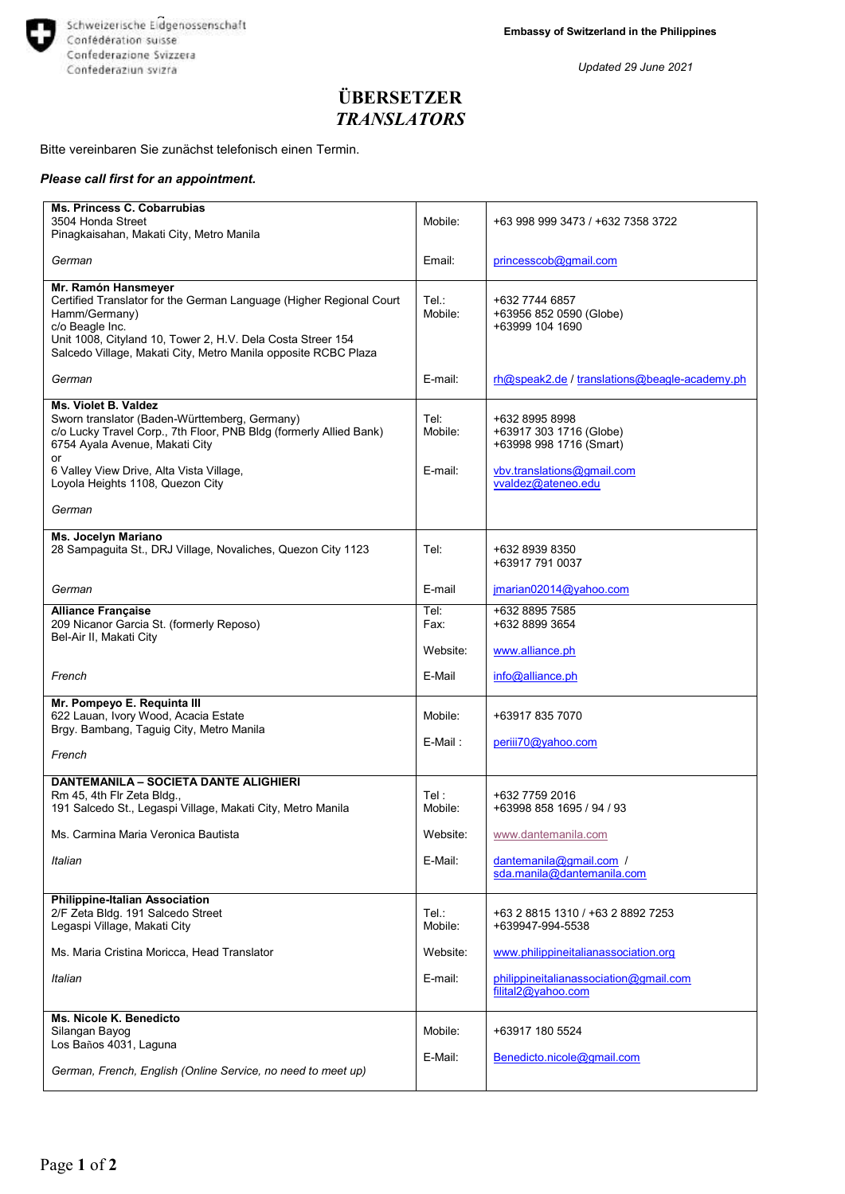

*Updated 29 June 2021*

## **ÜBERSETZER** *TRANSLATORS*

## Bitte vereinbaren Sie zunächst telefonisch einen Termin.

## *Please call first for an appointment.*

| Ms. Princess C. Cobarrubias<br>3504 Honda Street                                                                                                                                                                                                                | Mobile:          | +63 998 999 3473 / +632 7358 3722                                    |
|-----------------------------------------------------------------------------------------------------------------------------------------------------------------------------------------------------------------------------------------------------------------|------------------|----------------------------------------------------------------------|
| Pinagkaisahan, Makati City, Metro Manila                                                                                                                                                                                                                        |                  |                                                                      |
| German                                                                                                                                                                                                                                                          | Email:           | princesscob@gmail.com                                                |
| Mr. Ramón Hansmeyer<br>Certified Translator for the German Language (Higher Regional Court<br>Hamm/Germany)<br>c/o Beagle Inc.<br>Unit 1008, Cityland 10, Tower 2, H.V. Dela Costa Streer 154<br>Salcedo Village, Makati City, Metro Manila opposite RCBC Plaza | Tel.∶<br>Mobile: | +632 7744 6857<br>+63956 852 0590 (Globe)<br>+63999 104 1690         |
| German                                                                                                                                                                                                                                                          | E-mail:          | rh@speak2.de / translations@beagle-academy.ph                        |
| Ms. Violet B. Valdez<br>Sworn translator (Baden-Württemberg, Germany)<br>c/o Lucky Travel Corp., 7th Floor, PNB Bldg (formerly Allied Bank)<br>6754 Ayala Avenue, Makati City<br>or                                                                             | Tel:<br>Mobile:  | +632 8995 8998<br>+63917 303 1716 (Globe)<br>+63998 998 1716 (Smart) |
| 6 Valley View Drive, Alta Vista Village,<br>Loyola Heights 1108, Quezon City                                                                                                                                                                                    | E-mail:          | vbv.translations@gmail.com<br>vvaldez@ateneo.edu                     |
| German                                                                                                                                                                                                                                                          |                  |                                                                      |
| Ms. Jocelyn Mariano<br>28 Sampaguita St., DRJ Village, Novaliches, Quezon City 1123                                                                                                                                                                             | Tel:             | +632 8939 8350<br>+63917 791 0037                                    |
| German                                                                                                                                                                                                                                                          | E-mail           | jmarian02014@yahoo.com                                               |
| <b>Alliance Française</b><br>209 Nicanor Garcia St. (formerly Reposo)<br>Bel-Air II, Makati City                                                                                                                                                                | Tel:<br>Fax:     | +632 8895 7585<br>+632 8899 3654                                     |
|                                                                                                                                                                                                                                                                 | Website:         | www.alliance.ph                                                      |
| French                                                                                                                                                                                                                                                          | E-Mail           | info@alliance.ph                                                     |
| Mr. Pompeyo E. Requinta III<br>622 Lauan, Ivory Wood, Acacia Estate<br>Brgy. Bambang, Taguig City, Metro Manila                                                                                                                                                 | Mobile:          | +63917 835 7070                                                      |
| French                                                                                                                                                                                                                                                          | E-Mail:          | periii70@yahoo.com                                                   |
| <b>DANTEMANILA - SOCIETA DANTE ALIGHIERI</b>                                                                                                                                                                                                                    |                  |                                                                      |
| Rm 45, 4th Flr Zeta Bldg.,<br>191 Salcedo St., Legaspi Village, Makati City, Metro Manila                                                                                                                                                                       | Tel:<br>Mobile:  | +632 7759 2016<br>+63998 858 1695 / 94 / 93                          |
| Ms. Carmina Maria Veronica Bautista                                                                                                                                                                                                                             | Website:         | www.dantemanila.com                                                  |
| Italian                                                                                                                                                                                                                                                         | E-Mail:          | dantemanila@gmail.com /<br>sda.manila@dantemanila.com                |
| <b>Philippine-Italian Association</b>                                                                                                                                                                                                                           |                  |                                                                      |
| 2/F Zeta Bldg. 191 Salcedo Street<br>Legaspi Village, Makati City                                                                                                                                                                                               | Tel.∶<br>Mobile: | +63 2 8815 1310 / +63 2 8892 7253<br>+639947-994-5538                |
| Ms. Maria Cristina Moricca, Head Translator                                                                                                                                                                                                                     | Website:         | www.philippineitalianassociation.org                                 |
| Italian                                                                                                                                                                                                                                                         | E-mail:          | philippineitalianassociation@gmail.com<br>filital2@yahoo.com         |
| Ms. Nicole K. Benedicto<br>Silangan Bayog<br>Los Baños 4031, Laguna                                                                                                                                                                                             | Mobile:          | +63917 180 5524                                                      |
| German, French, English (Online Service, no need to meet up)                                                                                                                                                                                                    | E-Mail:          | Benedicto.nicole@gmail.com                                           |